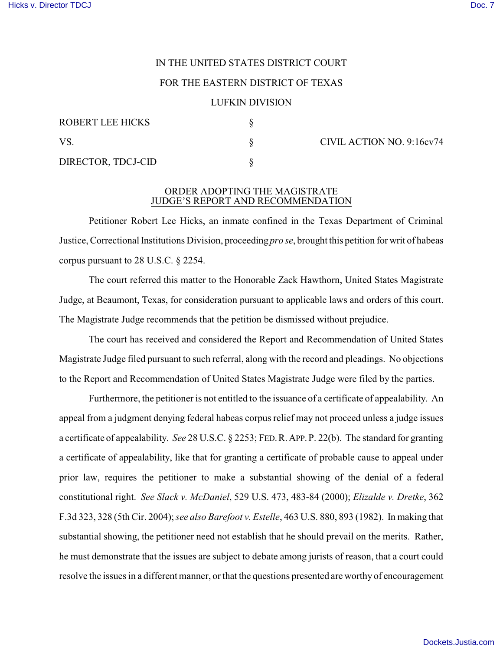# IN THE UNITED STATES DISTRICT COURT

## FOR THE EASTERN DISTRICT OF TEXAS

## LUFKIN DIVISION

| ROBERT LEE HICKS   |  |
|--------------------|--|
| VS.                |  |
| DIRECTOR, TDCJ-CID |  |

§ CIVIL ACTION NO. 9:16cv74

## ORDER ADOPTING THE MAGISTRATE JUDGE'S REPORT AND RECOMMENDATION

Petitioner Robert Lee Hicks, an inmate confined in the Texas Department of Criminal Justice, Correctional Institutions Division, proceeding *pro se*, brought this petition for writ of habeas corpus pursuant to 28 U.S.C. § 2254.

The court referred this matter to the Honorable Zack Hawthorn, United States Magistrate Judge, at Beaumont, Texas, for consideration pursuant to applicable laws and orders of this court. The Magistrate Judge recommends that the petition be dismissed without prejudice.

The court has received and considered the Report and Recommendation of United States Magistrate Judge filed pursuant to such referral, along with the record and pleadings. No objections to the Report and Recommendation of United States Magistrate Judge were filed by the parties.

Furthermore, the petitioner is not entitled to the issuance of a certificate of appealability. An appeal from a judgment denying federal habeas corpus relief may not proceed unless a judge issues a certificate of appealability. *See* 28 U.S.C. § 2253; FED.R.APP.P. 22(b). The standard for granting a certificate of appealability, like that for granting a certificate of probable cause to appeal under prior law, requires the petitioner to make a substantial showing of the denial of a federal constitutional right. *See Slack v. McDaniel*, 529 U.S. 473, 483-84 (2000); *Elizalde v. Dretke*, 362 F.3d 323, 328 (5th Cir. 2004); *see also Barefoot v. Estelle*, 463 U.S. 880, 893 (1982). In making that substantial showing, the petitioner need not establish that he should prevail on the merits. Rather, he must demonstrate that the issues are subject to debate among jurists of reason, that a court could resolve the issues in a different manner, or that the questions presented are worthy of encouragement